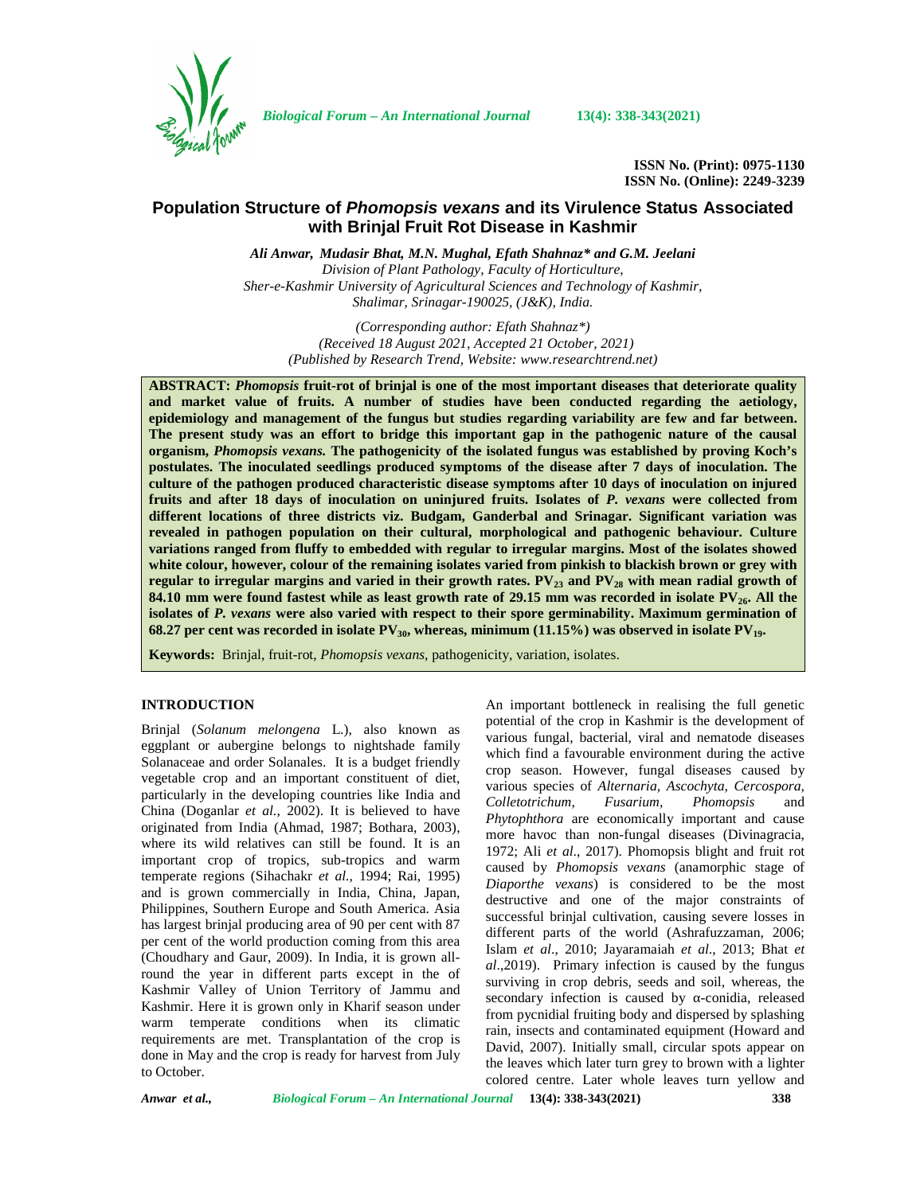

*Biological Forum – An International Journal* **13(4): 338-343(2021)**

**ISSN No. (Print): 0975-1130 ISSN No. (Online): 2249-3239**

# **Population Structure of** *Phomopsis vexans* **and its Virulence Status Associated with Brinjal Fruit Rot Disease in Kashmir**

*Ali Anwar, Mudasir Bhat, M.N. Mughal, Efath Shahnaz\* and G.M. Jeelani Division of Plant Pathology, Faculty of Horticulture, Sher-e-Kashmir University of Agricultural Sciences and Technology of Kashmir, Shalimar, Srinagar-190025, (J&K), India.*

*(Corresponding author: Efath Shahnaz\*) (Received 18 August 2021, Accepted 21 October, 2021) (Published by Research Trend, Website: [www.researchtrend.net\)](www.researchtrend.net)*

**ABSTRACT:** *Phomopsis* **fruit-rot of brinjal is one of the most important diseases that deteriorate quality and market value of fruits. A number of studies have been conducted regarding the aetiology, epidemiology and management of the fungus but studies regarding variability are few and far between. The present study was an effort to bridge this important gap in the pathogenic nature of the causal organism,** *Phomopsis vexans.* **The pathogenicity of the isolated fungus was established by proving Koch's postulates. The inoculated seedlings produced symptoms of the disease after 7 days of inoculation. The culture of the pathogen produced characteristic disease symptoms after 10 days of inoculation on injured fruits and after 18 days of inoculation on uninjured fruits. Isolates of** *P. vexans* **were collected from different locations of three districts viz. Budgam, Ganderbal and Srinagar. Significant variation was revealed in pathogen population on their cultural, morphological and pathogenic behaviour. Culture variations ranged from fluffy to embedded with regular to irregular margins. Most of the isolates showed white colour, however, colour of the remaining isolates varied from pinkish to blackish brown or grey with regular to irregular margins and varied in their growth rates. PV<sup>23</sup> and PV<sup>28</sup> with mean radial growth of 84.10 mm were found fastest while as least growth rate of 29.15 mm was recorded in isolate PV26. All the isolates of** *P. vexans* **were also varied with respect to their spore germinability. Maximum germination of 68.27 per cent was recorded in isolate PV30, whereas, minimum (11.15%) was observed in isolate PV19.**

**Keywords:** Brinjal, fruit-rot, *Phomopsis vexans*, pathogenicity, variation, isolates.

## **INTRODUCTION**

Brinjal (*Solanum melongena* L.), also known as eggplant or aubergine belongs to nightshade family Solanaceae and order Solanales. It is a budget friendly vegetable crop and an important constituent of diet, particularly in the developing countries like India and China (Doganlar *et al.,* 2002). It is believed to have originated from India (Ahmad, 1987; Bothara, 2003), where its wild relatives can still be found. It is an important crop of tropics, sub-tropics and warm temperate regions (Sihachakr *et al.,* 1994; Rai, 1995) and is grown commercially in India, China, Japan, Philippines, Southern Europe and South America. Asia has largest brinjal producing area of 90 per cent with 87 per cent of the world production coming from this area (Choudhary and Gaur, 2009). In India, it is grown allround the year in different parts except in the of Kashmir Valley of Union Territory of Jammu and Kashmir. Here it is grown only in Kharif season under warm temperate conditions when its climatic requirements are met. Transplantation of the crop is done in May and the crop is ready for harvest from July to October.

An important bottleneck in realising the full genetic potential of the crop in Kashmir is the development of various fungal, bacterial, viral and nematode diseases which find a favourable environment during the active crop season. However, fungal diseases caused by various species of *Alternaria, Ascochyta, Cercospora, Colletotrichum, Fusarium, Phomopsis* and *Phytophthora* are economically important and cause more havoc than non-fungal diseases (Divinagracia, 1972; Ali *et al*., 2017). Phomopsis blight and fruit rot caused by *Phomopsis vexans* (anamorphic stage of *Diaporthe vexans*) is considered to be the most destructive and one of the major constraints of successful brinjal cultivation, causing severe losses in different parts of the world (Ashrafuzzaman, 2006; Islam *et al*., 2010; Jayaramaiah *et al*., 2013; Bhat *et al*.,2019). Primary infection is caused by the fungus surviving in crop debris, seeds and soil, whereas, the secondary infection is caused by -conidia, released from pycnidial fruiting body and dispersed by splashing rain, insects and contaminated equipment (Howard and David, 2007). Initially small, circular spots appear on the leaves which later turn grey to brown with a lighter colored centre. Later whole leaves turn yellow and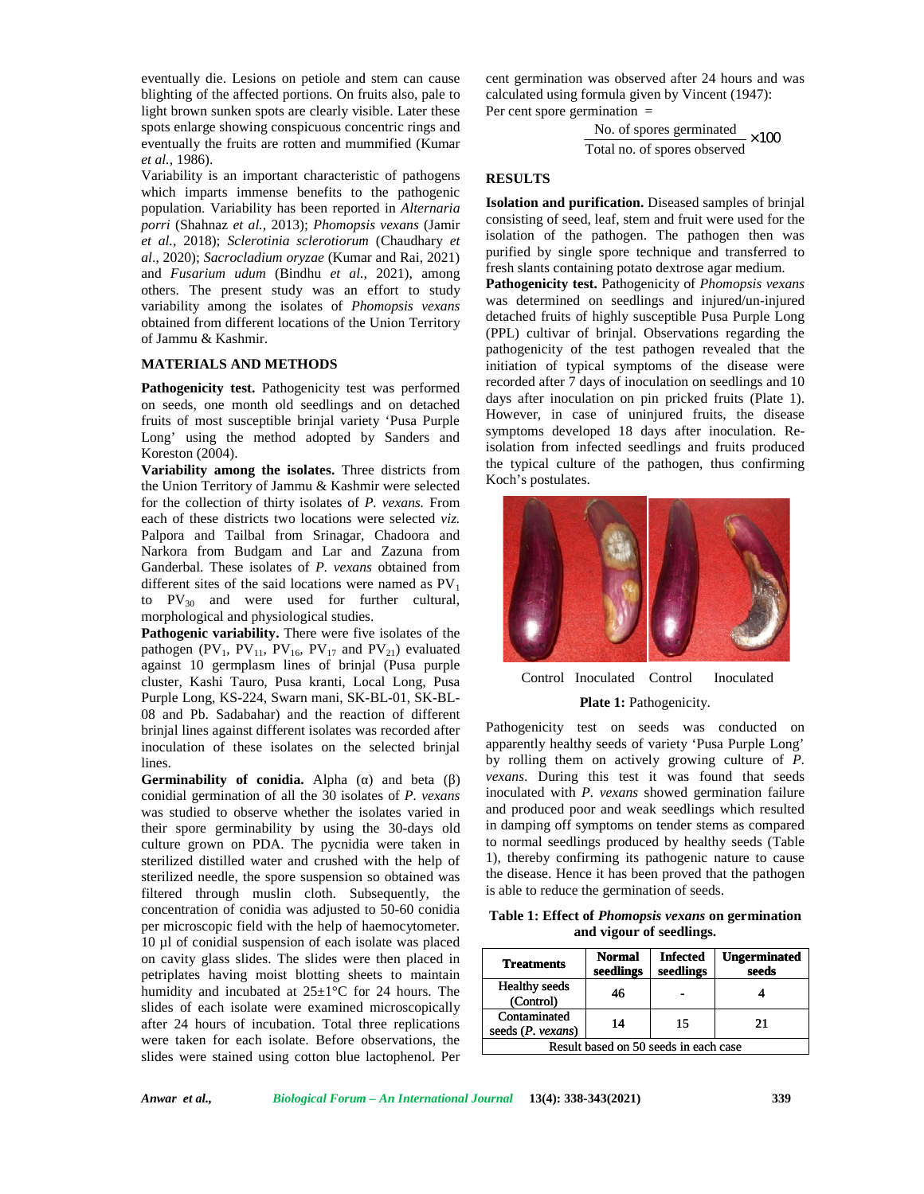eventually die. Lesions on petiole and stem can cause blighting of the affected portions. On fruits also, pale to light brown sunken spots are clearly visible. Later these spots enlarge showing conspicuous concentric rings and eventually the fruits are rotten and mummified (Kumar *et al.,* 1986).

Variability is an important characteristic of pathogens which imparts immense benefits to the pathogenic population. Variability has been reported in *Alternaria* **population.** Variability has been reported in *Alternaria* **18**<br> *porri* (Shahnaz *et al.*, 2013); *Phomopsis vexans* (Jamir *et al.,* 2018); *Sclerotinia sclerotiorum* (Chaudhary *et sclerotiorum al*., 2020); *Sacrocladium oryzae* (Kumar and Rai, 2021) and *Fusarium udum* (Bindhu *et al.,* 2021), among others. The present study was an effort to study **rath** variability among the isolates of *Phomopsis vexans* obtained from different locations of the Union Territory of Jammu & Kashmir. *al., 2021*), among<br>*e* present study was an effort to study<br>among the isolates of *Phomopsis vexans* 

### **MATERIALS AND METHODS AND METHODS**

**Pathogenicity test.** Pathogenicity test was performed on seeds, one month old seedlings and on detached fruits of most susceptible brinjal variety 'Pusa Purple fruits of most susceptible brinjal variety 'Pusa Purple<br>Long' using the method adopted by Sanders and symptom Koreston (2004).

**Variability among the isolates.** Three districts from the Union Territory of Jammu & Kashmir were selected for the collection of thirty isolates of *P. vexans.* From each of these districts two locations were selected *viz.* Palpora and Tailbal from Srinagar, Chadoora and Narkora from Budgam and Lar and Zazuna from Ganderbal. These isolates of *P. vexans* obtained from different sites of the said locations were named as  $PV_1$ to  $PV_{30}$  and were used for further cultural, morphological and physiological studies. ry of Jammu & Kashmir were selected<br>of thirty isolates of *P. vexans.* From<br>tricts two locations were selected *viz*.<br>ilbal from Srinagar, Chadoora and<br>3udgam and Lar and Zazuna from<br>the said locations were named as  $PV_1$ 

Pathogenic variability. There were five isolates of the pathogen (PV<sub>1</sub>, PV<sub>11</sub>, PV<sub>16</sub>, PV<sub>17</sub> and PV<sub>21</sub>) evaluated against 10 germplasm lines of brinjal (Pusa purple cluster, Kashi Tauro, Pusa kranti, Local Long, Pusa Purple Long, KS-224, Swarn mani, SK-BL-01, SK-BL-08 and Pb. Sadabahar) and the reaction of different 08 and Pb. Sadabahar) and the reaction of different brinjal lines against different isolates was recorded after  $P^2$ inoculation of these isolates on the selected brinjal lines.

**Germinability of conidia.** Alpha () and beta () <sup>ve</sup> conidial germination of all the 30 isolates of *P. vexans* was studied to observe whether the isolates varied in their spore germinability by using the 30-days old culture grown on PDA. The pycnidia were taken in sterilized distilled water and crushed with the help of sterilized needle, the spore suspension so obtained was filtered through muslin cloth. Subsequently, the concentration of conidia was adjusted to 50-60 conidia per microscopic field with the help of haemocytometer. 10 µl of conidial suspension of each isolate was placed on cavity glass slides. The slides were then placed in petriplates having moist blotting sheets to maintain humidity and incubated at  $25\pm1\degree$ C for 24 hours. The slides of each isolate were examined microscopically after 24 hours of incubation. Total three replications were taken for each isolate. Before observations, the slides were stained using cotton blue lactophenol. Per of the affreced periods. On thuis also, pale to<br>some that the proposition of the state of the state of the state of the masker spots are clearly visible. Later these are able to provide the masker showing conspicuous conce these isolates on the selected brinjal<br>of conidia. Alpha () and beta ()<br>ation of all the 30 isolates of *P. vexans* r spore germinability by using the 30-days oure grown on PDA. The pycnidia were taken lilized distilled water and crushed with the help lilized needle, the spore suspension so obtained were the more and through muslin clo eventually disk Lation on periodic and sign can cause and generalization we observed disk lator in the specific state of the state of the state of the state of the state of the state of the state of the state of the state

cent germination was observed after 24 hours and was calculated using formula given by Vincent (1947): Per cent spore germination = mination was observed<br>d using formula given b<br>spore germination =

> No. of spores germinated 1,400  $\frac{100 \text{ C or spores generated}}{100} \times 100$

### **RESULTS**

**Isolation and purification.** Diseased samples of brinjal consisting of seed, leaf, stem and fruit were used for the isolation of the pathogen. The pathogen then was purified by single spore technique and transferred to fresh slants containing potato dextrose agar medium. **Isolation and purification.** Diseased samples of brir consisting of seed, leaf, stem and fruit were used for isolation of the pathogen. The pathogen then v<br>purified by single spore technique and transferred<br>fresh slants c

**Pathogenicity test.** Pathogenicity of *Phomopsis vexans vexans*was determined on seedlings and injured/un-injured detached fruits of highly susceptible Pusa Purple Long (PPL) cultivar of brinjal. Observations regarding the pathogenicity of the test pathogen revealed that the initiation of typical symptoms of the disease were recorded after 7 days of inoculation on seedlings and 10 days after inoculation on pin pricked fruits (Plate 1). However, in case of uninjured fruits, the disease symptoms developed 18 days after inoculation. Reisolation from infected seedlings and fruits produced the typical culture of the pathogen, thus confirming the Koch's postulates. Koch's postulates.was determined on seedlings and injured/un-injured<br>detached fruits of highly susceptible Pusa Purple Long<br>(PPL) cultivar of brinjal. Observations regarding the<br>pathogenicity of the test pathogen revealed that the<br>initiatio



Control Inoculated Control Inoculated<br> **Plate 1:** Pathogenicity.

## **Plate 1:** Pathogenicity.

Pathogenicity test on seeds was conducted on apparently healthy seeds of variety 'Pusa Purple Long' by rolling them on actively growing culture of *P*. *vexans*. During this test it was found that seeds inoculated with *P. vexans* showed germination failure and produced poor and weak seedlings which resulted in damping off symptoms on tender stems as compared to normal seedlings produced by healthy seeds (Table 1), thereby confirming its pathogenic nature to cause the disease. Hence it has been proved that the pathogen is able to reduce the germination of seeds. inoculated with *P. vexans* showed germination failure and produced poor and weak seedlings which resulted in damping off symptoms on tender stems as compared to normal seedlings produced by healthy seeds (Table 1), thereb

**Table 1: Effect of** *Phomopsis vexans* **on germination** *Phomopsis* **and vigour of seedlings. and** 

| <b>Treatments</b>                     | <b>Normal</b><br>seedlings | <b>Infected</b><br>seedlings | <b>Ungerminated</b><br>seeds |  |  |  |
|---------------------------------------|----------------------------|------------------------------|------------------------------|--|--|--|
| <b>Healthy</b> seeds<br>(Control)     | 46                         |                              |                              |  |  |  |
| Contaminated<br>seeds $(P.$ vexans)   | 14                         | 15                           | 21                           |  |  |  |
| Result based on 50 seeds in each case |                            |                              |                              |  |  |  |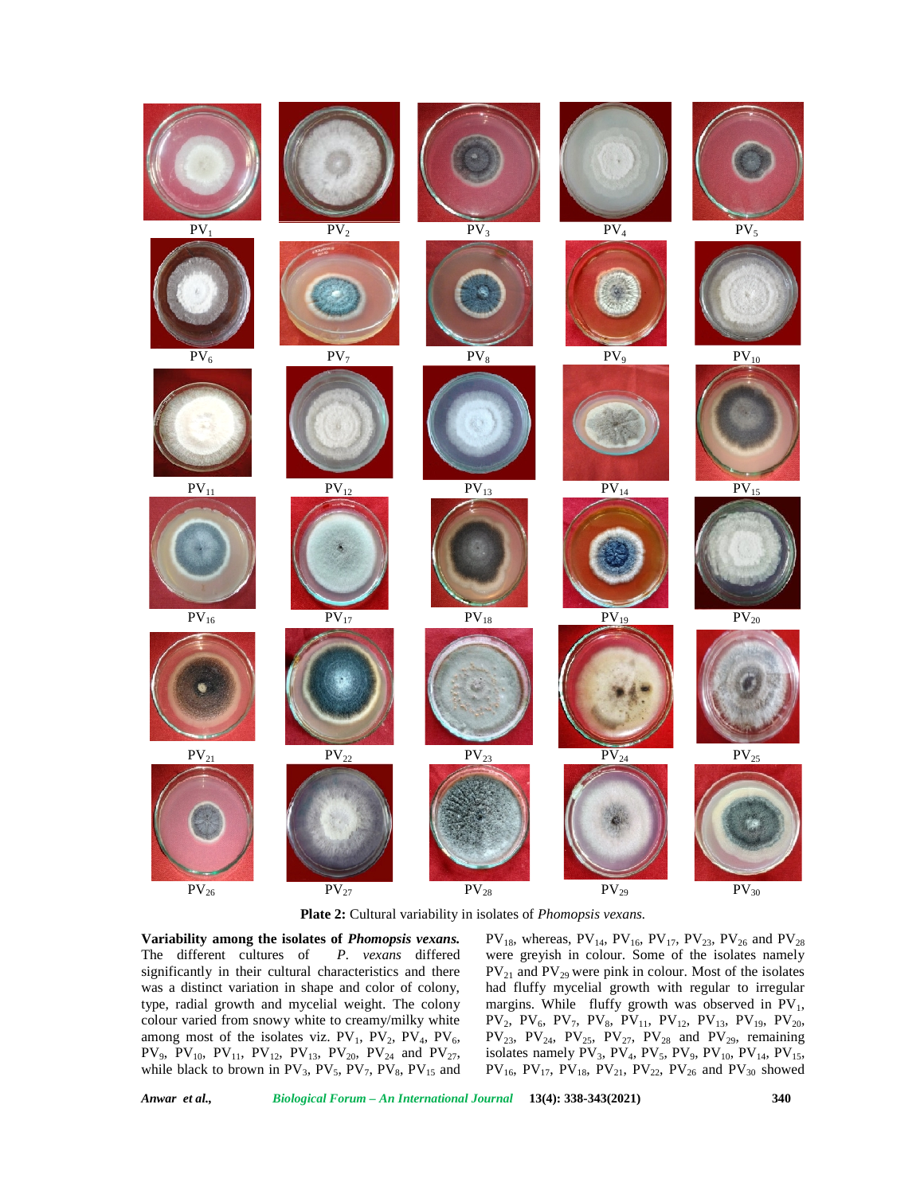

**Plate 2:** Cultural variability in isolates of *Phomopsis vexans.*

**Variability among the isolates of** *Phomopsis vexans.* The different cultures of *P. vexans* differed significantly in their cultural characteristics and there was a distinct variation in shape and color of colony, type, radial growth and mycelial weight. The colony colour varied from snowy white to creamy/milky white among most of the isolates viz.  $PV_1$ ,  $PV_2$ ,  $PV_4$ ,  $PV_6$ , PV<sub>9</sub>, PV<sub>10</sub>, PV<sub>11</sub>, PV<sub>12</sub>, PV<sub>13</sub>, PV<sub>20</sub>, PV<sub>24</sub> and PV<sub>27</sub>, while black to brown in  $PV_3$ ,  $PV_5$ ,  $PV_7$ ,  $PV_8$ ,  $PV_{15}$  and  $PV_{18}$ , whereas,  $PV_{14}$ ,  $PV_{16}$ ,  $PV_{17}$ ,  $PV_{23}$ ,  $PV_{26}$  and  $PV_{28}$ were greyish in colour. Some of the isolates namely  $PV_{21}$  and  $PV_{29}$  were pink in colour. Most of the isolates had fluffy mycelial growth with regular to irregular margins. While fluffy growth was observed in  $PV_1$ ,  $PV_2$ ,  $PV_6$ ,  $PV_7$ ,  $PV_8$ ,  $PV_{11}$ ,  $PV_{12}$ ,  $PV_{13}$ ,  $PV_{19}$ ,  $PV_{20}$ ,  $PV_{23}$ ,  $PV_{24}$ ,  $PV_{25}$ ,  $PV_{27}$ ,  $PV_{28}$  and  $PV_{29}$ , remaining isolates namely  $PV_3$ ,  $PV_4$ ,  $PV_5$ ,  $PV_9$ ,  $PV_{10}$ ,  $PV_{14}$ ,  $PV_{15}$ ,  $PV_{16}$ ,  $PV_{17}$ ,  $PV_{18}$ ,  $PV_{21}$ ,  $PV_{22}$ ,  $PV_{26}$  and  $PV_{30}$  showed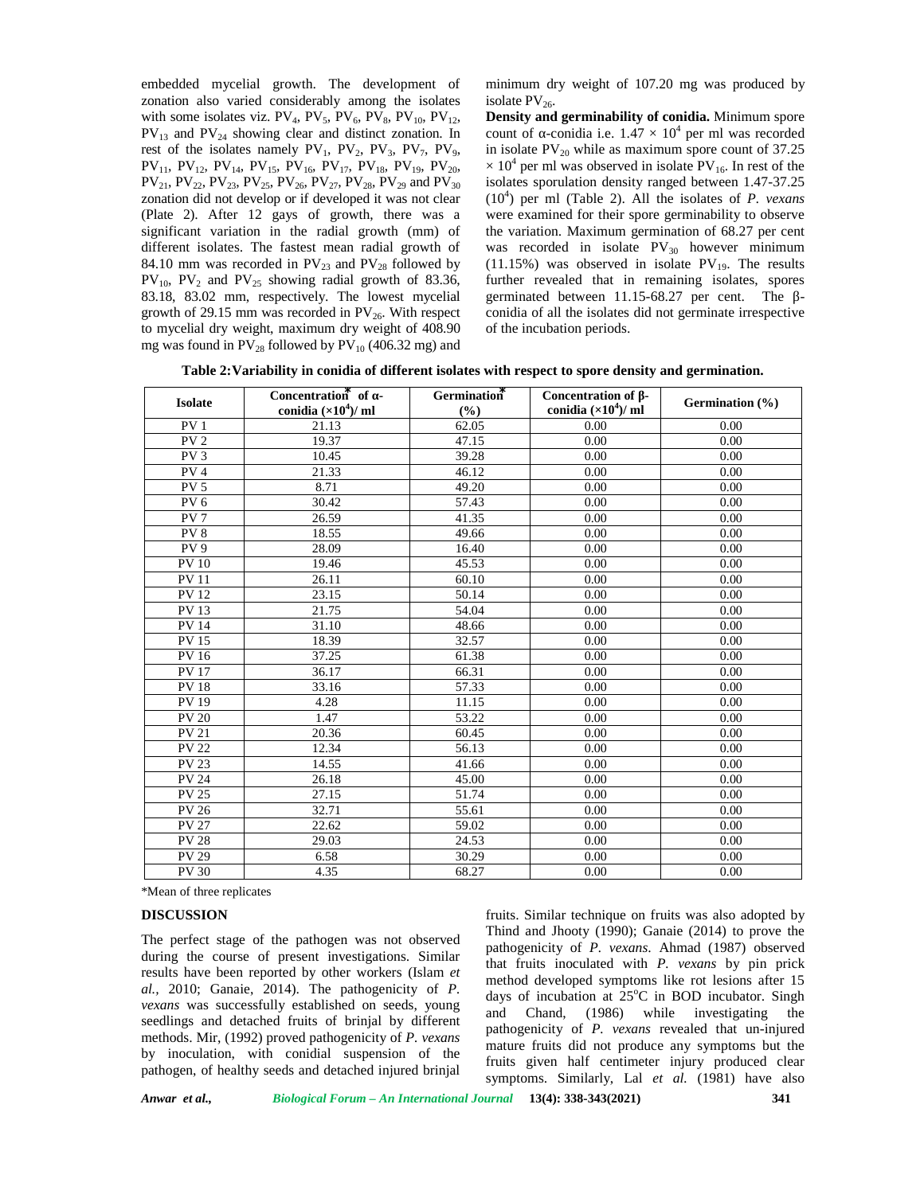embedded mycelial growth. The development of zonation also varied considerably among the isolates with some isolates viz.  $PV_4$ ,  $PV_5$ ,  $PV_6$ ,  $PV_8$ ,  $PV_{10}$ ,  $PV_{12}$ ,  $PV_{13}$  and  $PV_{24}$  showing clear and distinct zonation. In rest of the isolates namely  $PV_1$ ,  $PV_2$ ,  $PV_3$ ,  $PV_7$ ,  $PV_9$ ,  $PV_{11}$ ,  $PV_{12}$ ,  $PV_{14}$ ,  $PV_{15}$ ,  $PV_{16}$ ,  $PV_{17}$ ,  $PV_{18}$ ,  $PV_{19}$ ,  $PV_{20}$ ,  $PV_{21}$ ,  $PV_{22}$ ,  $PV_{23}$ ,  $PV_{25}$ ,  $PV_{26}$ ,  $PV_{27}$ ,  $PV_{28}$ ,  $PV_{29}$  and  $PV_{30}$ zonation did not develop or if developed it was not clear (Plate 2). After 12 gays of growth, there was a significant variation in the radial growth (mm) of different isolates. The fastest mean radial growth of 84.10 mm was recorded in  $PV_{23}$  and  $PV_{28}$  followed by  $PV_{10}$ ,  $PV_{2}$  and  $PV_{25}$  showing radial growth of 83.36, 83.18, 83.02 mm, respectively. The lowest mycelial growth of 29.15 mm was recorded in  $PV_{26}$ . With respect to mycelial dry weight, maximum dry weight of 408.90 mg was found in  $PV_{28}$  followed by  $PV_{10}$  (406.32 mg) and

minimum dry weight of 107.20 mg was produced by isolate  $PV_{26}$ .

**Density and germinability of conidia.** Minimum spore count of -conidia i.e.  $1.47 \times 10^4$  per ml was recorded in isolate  $PV_{20}$  while as maximum spore count of 37.25  $\times$  10<sup>4</sup> per ml was observed in isolate PV<sub>16</sub>. In rest of the isolates sporulation density ranged between 1.47-37.25  $(10<sup>4</sup>)$  per ml (Table 2). All the isolates of *P. vexans* were examined for their spore germinability to observe the variation. Maximum germination of 68.27 per cent was recorded in isolate  $PV_{30}$  however minimum  $(11.15\%)$  was observed in isolate PV<sub>19</sub>. The results further revealed that in remaining isolates, spores germinated between 11.15-68.27 per cent. The conidia of all the isolates did not germinate irrespective of the incubation periods.

**Table 2:Variability in conidia of different isolates with respect to spore density and germination.**

| <b>Isolate</b>  | Concentration of -<br>conidia $(\times 10^4)$ / ml | Germination<br>(%) | Concentration of -<br>conidia $(\times 10^4)$ / ml | Germination (%) |
|-----------------|----------------------------------------------------|--------------------|----------------------------------------------------|-----------------|
| PV <sub>1</sub> |                                                    |                    |                                                    | 0.00            |
|                 | 21.13                                              | 62.05              | 0.00                                               |                 |
| PV <sub>2</sub> | 19.37                                              | 47.15              | 0.00                                               | 0.00            |
| PV <sub>3</sub> | 10.45                                              | 39.28              | 0.00                                               | 0.00            |
| PV <sub>4</sub> | 21.33                                              | 46.12              | 0.00                                               | 0.00            |
| PV <sub>5</sub> | 8.71                                               | 49.20              | 0.00                                               | 0.00            |
| PV <sub>6</sub> | 30.42                                              | 57.43              | 0.00                                               | 0.00            |
| PV <sub>7</sub> | 26.59                                              | 41.35              | 0.00                                               | 0.00            |
| PV <sub>8</sub> | 18.55                                              | 49.66              | 0.00                                               | 0.00            |
| PV 9            | 28.09                                              | 16.40              | 0.00                                               | 0.00            |
| <b>PV 10</b>    | 19.46                                              | 45.53              | 0.00                                               | 0.00            |
| <b>PV11</b>     | 26.11                                              | 60.10              | 0.00                                               | 0.00            |
| <b>PV12</b>     | 23.15                                              | 50.14              | 0.00                                               | 0.00            |
| <b>PV13</b>     | 21.75                                              | 54.04              | 0.00                                               | 0.00            |
| <b>PV 14</b>    | 31.10                                              | 48.66              | 0.00                                               | 0.00            |
| <b>PV 15</b>    | 18.39                                              | 32.57              | 0.00                                               | 0.00            |
| <b>PV</b> 16    | 37.25                                              | 61.38              | 0.00                                               | 0.00            |
| <b>PV17</b>     | 36.17                                              | 66.31              | 0.00                                               | 0.00            |
| <b>PV18</b>     | 33.16                                              | 57.33              | 0.00                                               | 0.00            |
| <b>PV 19</b>    | 4.28                                               | 11.15              | 0.00                                               | 0.00            |
| <b>PV 20</b>    | 1.47                                               | 53.22              | 0.00                                               | 0.00            |
| <b>PV 21</b>    | 20.36                                              | 60.45              | 0.00                                               | 0.00            |
| <b>PV 22</b>    | 12.34                                              | 56.13              | 0.00                                               | 0.00            |
| <b>PV 23</b>    | 14.55                                              | 41.66              | 0.00                                               | 0.00            |
| <b>PV 24</b>    | 26.18                                              | 45.00              | 0.00                                               | 0.00            |
| <b>PV 25</b>    | 27.15                                              | 51.74              | 0.00                                               | 0.00            |
| <b>PV 26</b>    | 32.71                                              | 55.61              | 0.00                                               | 0.00            |
| <b>PV 27</b>    | 22.62                                              | 59.02              | 0.00                                               | 0.00            |
| <b>PV 28</b>    | 29.03                                              | 24.53              | 0.00                                               | 0.00            |
| <b>PV 29</b>    | 6.58                                               | 30.29              | 0.00                                               | 0.00            |
| <b>PV 30</b>    | 4.35                                               | 68.27              | 0.00                                               | 0.00            |

\*Mean of three replicates

#### **DISCUSSION**

The perfect stage of the pathogen was not observed during the course of present investigations. Similar results have been reported by other workers (Islam *et al.,* 2010; Ganaie, 2014). The pathogenicity of *P. vexans* was successfully established on seeds, young and seedlings and detached fruits of brinjal by different methods. Mir, (1992) proved pathogenicity of *P. vexans* by inoculation, with conidial suspension of the pathogen, of healthy seeds and detached injured brinjal

fruits. Similar technique on fruits was also adopted by Thind and Jhooty (1990); Ganaie (2014) to prove the pathogenicity of *P. vexans*. Ahmad (1987) observed that fruits inoculated with *P. vexans* by pin prick method developed symptoms like rot lesions after 15 days of incubation at  $25^{\circ}$ C in BOD incubator. Singh Chand, (1986) while investigating the pathogenicity of *P. vexans* revealed that un-injured mature fruits did not produce any symptoms but the fruits given half centimeter injury produced clear symptoms. Similarly, Lal *et al.* (1981) have also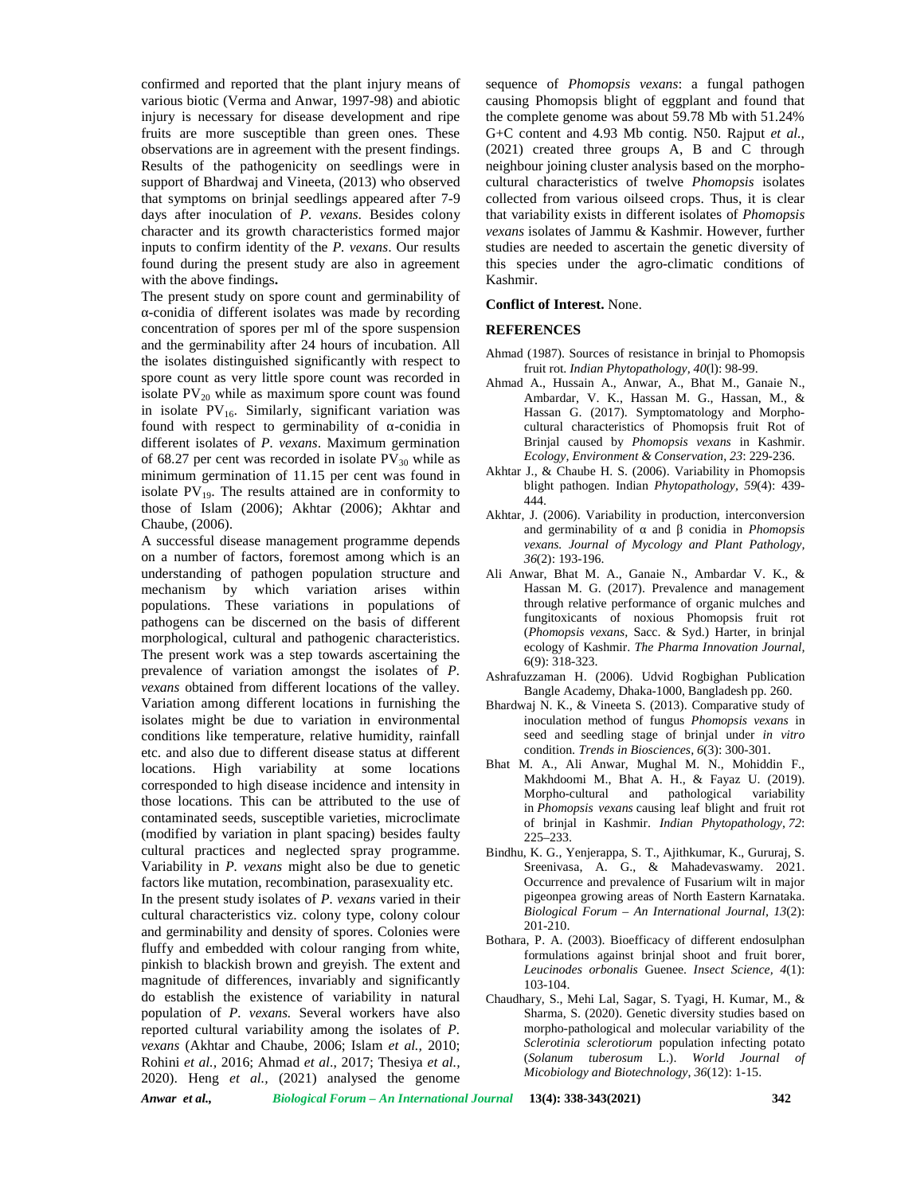confirmed and reported that the plant injury means of various biotic (Verma and Anwar, 1997-98) and abiotic injury is necessary for disease development and ripe fruits are more susceptible than green ones. These observations are in agreement with the present findings. Results of the pathogenicity on seedlings were in support of Bhardwaj and Vineeta, (2013) who observed that symptoms on brinjal seedlings appeared after 7-9 days after inoculation of *P. vexans*. Besides colony character and its growth characteristics formed major inputs to confirm identity of the *P. vexans*. Our results found during the present study are also in agreement with the above findings**.**

The present study on spore count and germinability of -conidia of different isolates was made by recording concentration of spores per ml of the spore suspension and the germinability after 24 hours of incubation. All the isolates distinguished significantly with respect to spore count as very little spore count was recorded in isolate  $PV_{20}$  while as maximum spore count was found in isolate  $PV_{16}$ . Similarly, significant variation was found with respect to germinability of -conidia in different isolates of *P. vexans*. Maximum germination of 68.27 per cent was recorded in isolate  $PV_{30}$  while as minimum germination of 11.15 per cent was found in isolate  $PV_{19}$ . The results attained are in conformity to those of Islam (2006); Akhtar (2006); Akhtar and Chaube, (2006).

A successful disease management programme depends on a number of factors, foremost among which is an understanding of pathogen population structure and mechanism by which variation arises within populations. These variations in populations of pathogens can be discerned on the basis of different morphological, cultural and pathogenic characteristics. The present work was a step towards ascertaining the prevalence of variation amongst the isolates of *P. vexans* obtained from different locations of the valley. Variation among different locations in furnishing the isolates might be due to variation in environmental conditions like temperature, relative humidity, rainfall etc. and also due to different disease status at different locations. High variability at some locations corresponded to high disease incidence and intensity in those locations. This can be attributed to the use of contaminated seeds, susceptible varieties, microclimate (modified by variation in plant spacing) besides faulty cultural practices and neglected spray programme. Variability in *P. vexans* might also be due to genetic factors like mutation, recombination, parasexuality etc. In the present study isolates of *P. vexans* varied in their cultural characteristics viz. colony type, colony colour and germinability and density of spores. Colonies were fluffy and embedded with colour ranging from white, pinkish to blackish brown and greyish. The extent and magnitude of differences, invariably and significantly do establish the existence of variability in natural population of *P. vexans.* Several workers have also reported cultural variability among the isolates of *P. vexans* (Akhtar and Chaube, 2006; Islam *et al.,* 2010; Rohini *et al.,* 2016; Ahmad *et al*., 2017; Thesiya *et al.,* 2020). Heng *et al.,* (2021) analysed the genome

sequence of *Phomopsis vexans*: a fungal pathogen causing Phomopsis blight of eggplant and found that the complete genome was about 59.78 Mb with 51.24% G+C content and 4.93 Mb contig. N50. Rajput *et al.,* (2021) created three groups A, B and C through neighbour joining cluster analysis based on the morpho cultural characteristics of twelve *Phomopsis* isolates collected from various oilseed crops. Thus, it is clear that variability exists in different isolates of *Phomopsis vexans* isolates of Jammu & Kashmir. However, further studies are needed to ascertain the genetic diversity of this species under the agro-climatic conditions of Kashmir.

#### **Conflict of Interest.** None.

#### **REFERENCES**

- Ahmad (1987). Sources of resistance in brinjal to Phomopsis fruit rot. *Indian Phytopathology, 40*(l): 98-99.
- Ahmad A., Hussain A., Anwar, A., Bhat M., Ganaie N., Ambardar, V. K., Hassan M. G., Hassan, M., & Hassan G. (2017). Symptomatology and Morpho cultural characteristics of Phomopsis fruit Rot of Brinjal caused by *Phomopsis vexans* in Kashmir. *Ecology, Environment & Conservation*, *23*: 229-236.
- Akhtar J., & Chaube H. S. (2006). Variability in Phomopsis blight pathogen. Indian *Phytopathology, 59*(4): 439- 444.
- Akhtar, J. (2006). Variability in production, interconversion and germinability of and conidia in *Phomopsis vexans. Journal of Mycology and Plant Pathology, 36*(2): 193-196.
- Ali Anwar, Bhat M. A., Ganaie N., Ambardar V. K., & Hassan M. G. (2017). Prevalence and management through relative performance of organic mulches and fungitoxicants of noxious Phomopsis fruit rot (*Phomopsis vexans,* Sacc. & Syd.) Harter, in brinjal ecology of Kashmir. *The Pharma Innovation Journal,* 6(9): 318-323.
- Ashrafuzzaman H. (2006). Udvid Rogbighan Publication Bangle Academy, Dhaka-1000, Bangladesh pp. 260.
- Bhardwaj N. K., & Vineeta S. (2013). Comparative study of inoculation method of fungus *Phomopsis vexans* in seed and seedling stage of brinjal under *in vitro* condition. *Trends in Biosciences, 6*(3): 300-301.
- Bhat M. A., Ali Anwar, Mughal M. N., Mohiddin F., Makhdoomi M., Bhat A. H., & Fayaz U. (2019). Morpho-cultural and pathological variability in *Phomopsis vexans* causing leaf blight and fruit rot of brinjal in Kashmir. *Indian Phytopathology, 72*: 225–233.
- Bindhu, K. G., Yenjerappa, S. T., Ajithkumar, K., Gururaj, S. Sreenivasa, A. G., & Mahadevaswamy. 2021. Occurrence and prevalence of Fusarium wilt in major pigeonpea growing areas of North Eastern Karnataka. *Biological Forum – An International Journal, 13*(2): 201-210.
- Bothara, P. A. (2003). Bioefficacy of different endosulphan formulations against brinjal shoot and fruit borer, *Leucinodes orbonalis* Guenee. *Insect Science, 4*(1): 103-104.
- Chaudhary, S., Mehi Lal, Sagar, S. Tyagi, H. Kumar, M., & Sharma, S. (2020). Genetic diversity studies based on morpho-pathological and molecular variability of the *Sclerotinia sclerotiorum* population infecting potato (*Solanum tuberosum* L.). *World Journal of Micobiology and Biotechnology*, *36*(12): 1-15.

*Anwar et al., Biological Forum – An International Journal* **13(4): 338-343(2021) 342**